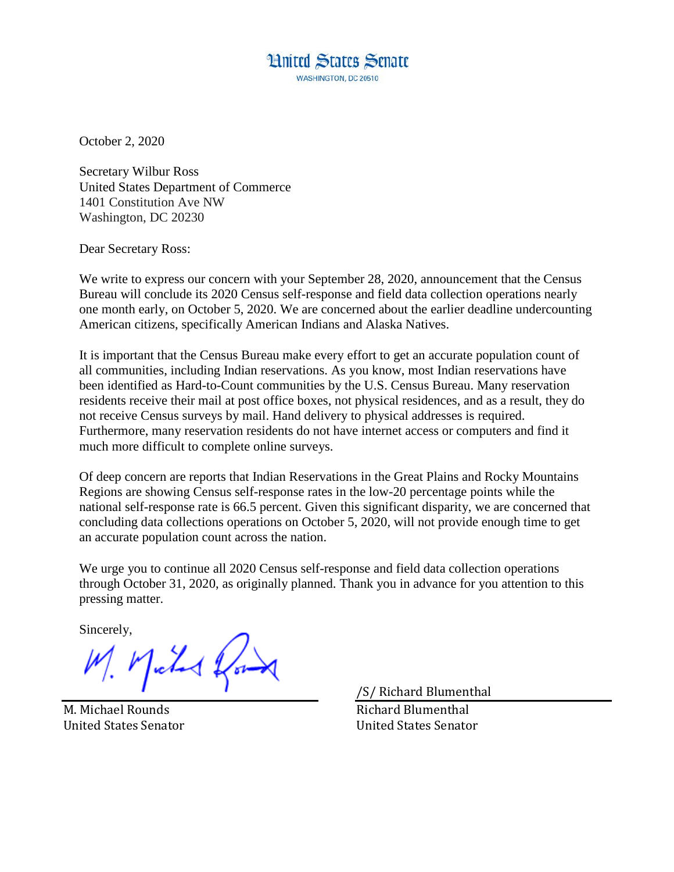**Huited States Senate** WASHINGTON, DC 20510

October 2, 2020

Secretary Wilbur Ross United States Department of Commerce 1401 Constitution Ave NW Washington, DC 20230

Dear Secretary Ross:

We write to express our concern with your September 28, 2020, announcement that the Census Bureau will conclude its 2020 Census self-response and field data collection operations nearly one month early, on October 5, 2020. We are concerned about the earlier deadline undercounting American citizens, specifically American Indians and Alaska Natives.

It is important that the Census Bureau make every effort to get an accurate population count of all communities, including Indian reservations. As you know, most Indian reservations have been identified as Hard-to-Count communities by the U.S. Census Bureau. Many reservation residents receive their mail at post office boxes, not physical residences, and as a result, they do not receive Census surveys by mail. Hand delivery to physical addresses is required. Furthermore, many reservation residents do not have internet access or computers and find it much more difficult to complete online surveys.

Of deep concern are reports that Indian Reservations in the Great Plains and Rocky Mountains Regions are showing Census self-response rates in the low-20 percentage points while the national self-response rate is 66.5 percent. Given this significant disparity, we are concerned that concluding data collections operations on October 5, 2020, will not provide enough time to get an accurate population count across the nation.

We urge you to continue all 2020 Census self-response and field data collection operations through October 31, 2020, as originally planned. Thank you in advance for you attention to this pressing matter.

Sincerely,

M. Mated for

M. Michael Rounds United States Senator

/S/ Richard Blumenthal

Richard Blumenthal United States Senator